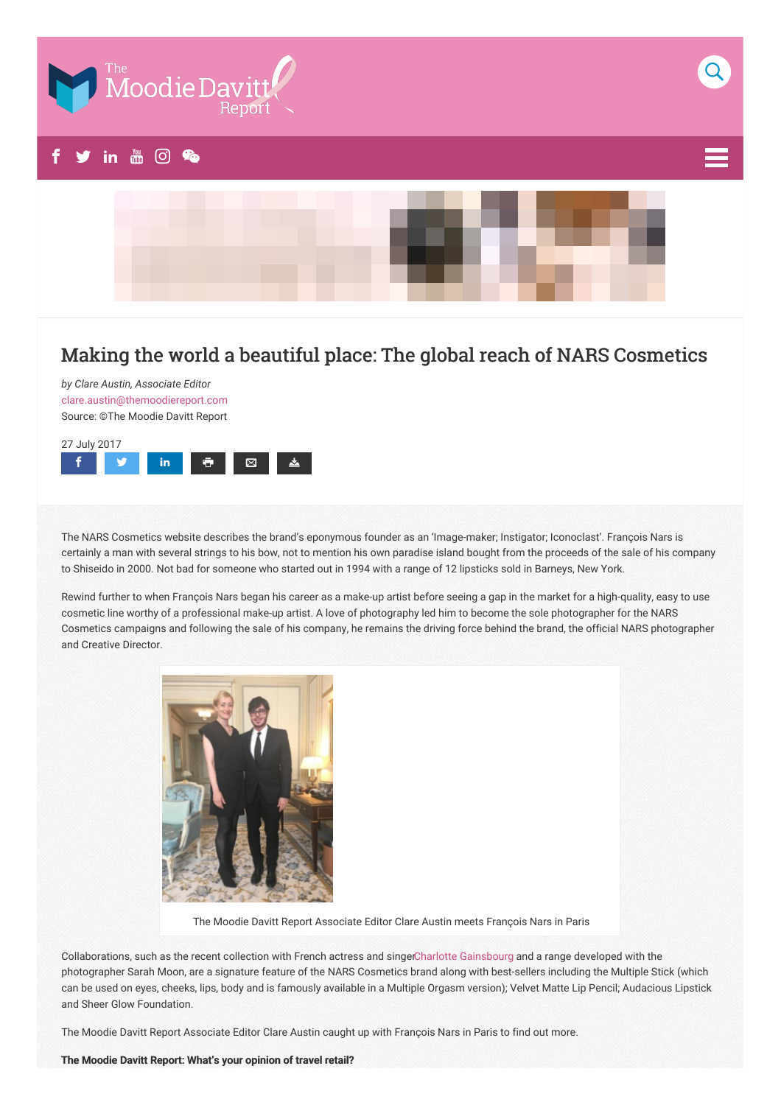

# Making the world a beautiful place: The global reach of NARS [Cosmetics](https://www.moodiedavittreport.com/category/brand-news/consumer-technology/)

*by Clare Austin, Associate Editor* [clare.austin@themoodiereport.com](https://www.moodiedavittreport.com/category/brand-news/cosmetics/) Source: ©The Moodie Davitt Report



The NARS Cosmetics website describes the brand's eponymous founder as an ['Image-maker;](https://www.moodiedavittreport.com/category/brand-news/fragrances/) Instigator; Iconoclast'. François Nars is certainly a man with several strings to his bow, not to mention his own paradise island bought from the proceeds of the sale of his company to Shiseido in 2000. Not bad for [someone](https://www.moodiedavittreport.com/category/brand-news/gifts-crystal-and-china/) who started out in 1994 with a range of 12 lipsticks sold in Barneys, New York.

Rewind further to when François Nars began his career as a make-up artist before seeing a gap in the market for a high-quality, easy to use cosmetic line worthy of a professional make-up artist. A love of photography led him to become the sole [photographer](https://www.moodiedavittreport.com/category/brand-news/hair-care-and-styling/) for the NARS Cosmetics campaigns and following the sale of his company, he remains the driving force behind the brand, the official NARS [photographer](https://www.moodiedavittreport.com/category/brand-news/news-and-books/) and Creative Director.



The Moodie Davitt Report [Associate](https://www.moodiedavittreport.com/category/brand-news/well-being/) Editor Clare Austin meets François Nars in Paris

Collaborations, such as the recent collection with French actress and singerCharlotte [Gainsbourg](https://www.moodiedavittreport.com/charlotte-gainsbourg-brings-her-creative-touch-to-latest-nars-collection/) and a range developed with the [photographer](https://www.moodiedavittreport.com/category/brand-news/writing-instruments/) Sarah Moon, are a signature feature of the NARS Cosmetics brand along with best-sellers including the Multiple Stick (which can be used on eyes, cheeks, lips, body and is famously available in a Multiple Orgasm version); Velvet Matte Lip Pencil; Audacious Lipstick and Sheer Glow Foundation.

The Moodie Davitt Report Associate Editor Clare Austin caught up with François Nars in Paris to find out more.

#### The Moodie Davitt Report: What's your opinion of travel retail?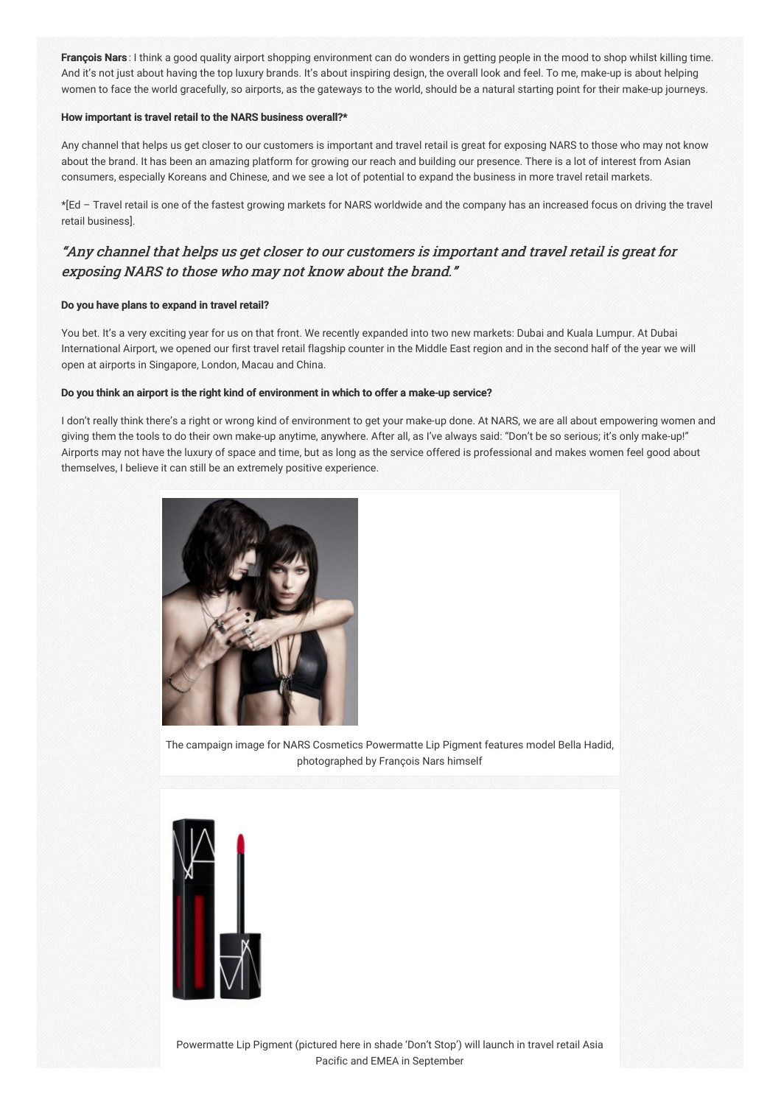François Nars: I think a good quality airport shopping environment can do wonders in getting people in the mood to shop whilst killing time. And it's not just about having the top luxury brands. It's about inspiring design, the overall look and feel. To me, make-up is about helping women to face the world gracefully, so airports, as the gateways to the world, should be a natural starting point for their make-up journeys.

# How important is travel retail to the NARS business overall?\*

Any channel that helps us get closer to our customers is important and travel retail is great for exposing NARS to those who may not know about the brand. It has been an amazing platform for growing our reach and building our presence. There is a lot of interest from Asian consumers, especially Koreans and Chinese, and we see a lot of potential to expand the business in more travel retail markets.

\*[Ed – Travel retail is one of the fastest growing markets for NARS worldwide and the company has an increased focus on driving the travel retail business].

# "Any channel that helps us get closer to our customers is important and travel retail is great for exposing NARS to those who may not know about the brand."

# Do you have plans to expand in travel retail?

You bet. It's a very exciting year for us on that front. We recently expanded into two new markets: Dubai and Kuala Lumpur. At Dubai International Airport, we opened our first travel retail flagship counter in the Middle East region and in the second half of the year we will open at airports in Singapore, London, Macau and China.

# Do you think an airport is the right kind of environment in which to offer a make-up service?

I don't really think there's a right or wrong kind of environment to get your make-up done. At NARS, we are all about empowering women and giving them the tools to do their own make-up anytime, anywhere. After all, as I've always said: "Don't be so serious; it's only make-up!" Airports may not have the luxury of space and time, but as long as the service offered is professional and makes women feel good about themselves, I believe it can still be an extremely positive experience.



The campaign image for NARS Cosmetics Powermatte Lip Pigment features model Bella Hadid, photographed by François Nars himself

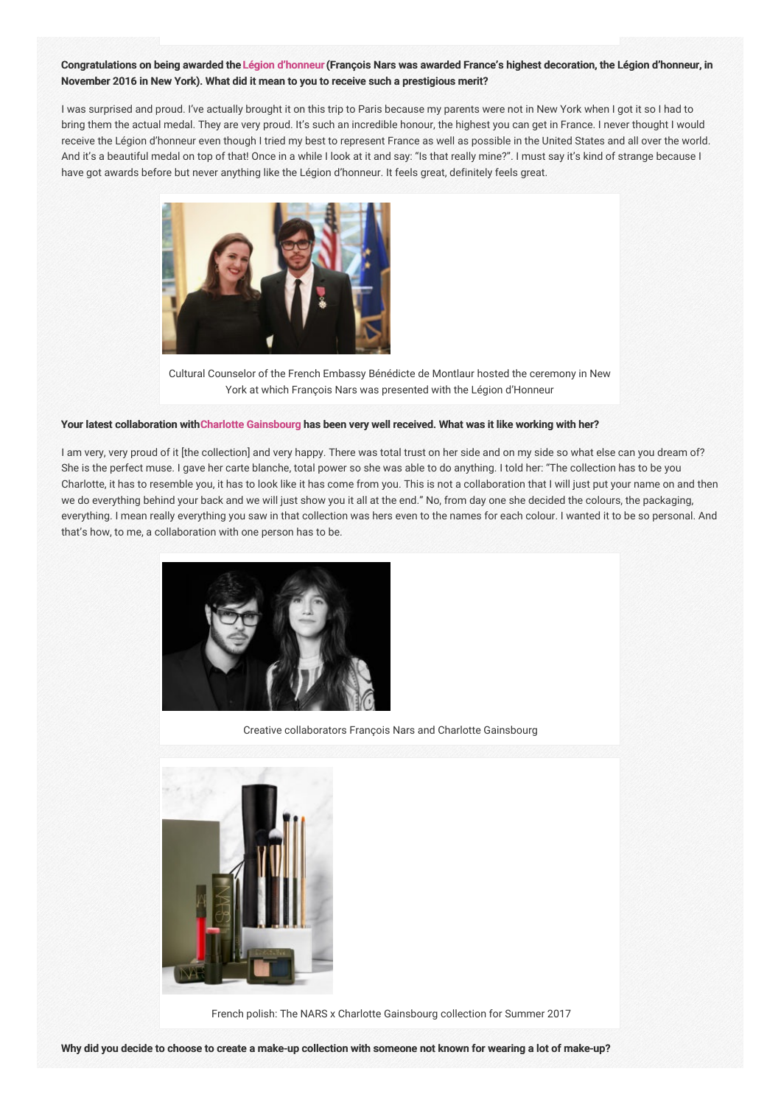# Congratulations on being awarded the Légion [d'honneur\(](https://www.moodiedavittreport.com/make-up-maestro-behind-nars-cosmetics-awarded-frances-highest-honour/)François Nars was awarded France's highest decoration, the Légion d'honneur, in November 2016 in New York). What did it mean to you to receive such a prestigious merit?

I was surprised and proud. I've actually brought it on this trip to Paris because my parents were not in New York when I got it so I had to bring them the actual medal. They are very proud. It's such an incredible honour, the highest you can get in France. I never thought I would receive the Légion d'honneur even though I tried my best to represent France as well as possible in the United States and all over the world. And it's a beautiful medal on top of that! Once in a while I look at it and say: "Is that really mine?". I must say it's kind of strange because I have got awards before but never anything like the Légion d'honneur. It feels great, definitely feels great.



Cultural Counselor of the French Embassy Bénédicte de Montlaur hosted the ceremony in New York at which François Nars was presented with the Légion d'Honneur

#### Your latest collaboration withCharlotte [Gainsbourg](https://www.moodiedavittreport.com/charlotte-gainsbourg-brings-her-creative-touch-to-latest-nars-collection/) has been very well received. What was it like working with her?

I am very, very proud of it [the collection] and very happy. There was total trust on her side and on my side so what else can you dream of? She is the perfect muse. I gave her carte blanche, total power so she was able to do anything. I told her: "The collection has to be you Charlotte, it has to resemble you, it has to look like it has come from you. This is not a collaboration that I will just put your name on and then we do everything behind your back and we will just show you it all at the end." No, from day one she decided the colours, the packaging, everything. I mean really everything you saw in that collection was hers even to the names for each colour. I wanted it to be so personal. And that's how, to me, a collaboration with one person has to be.



Creative collaborators François Nars and Charlotte Gainsbourg



French polish: The NARS x Charlotte Gainsbourg collection for Summer 2017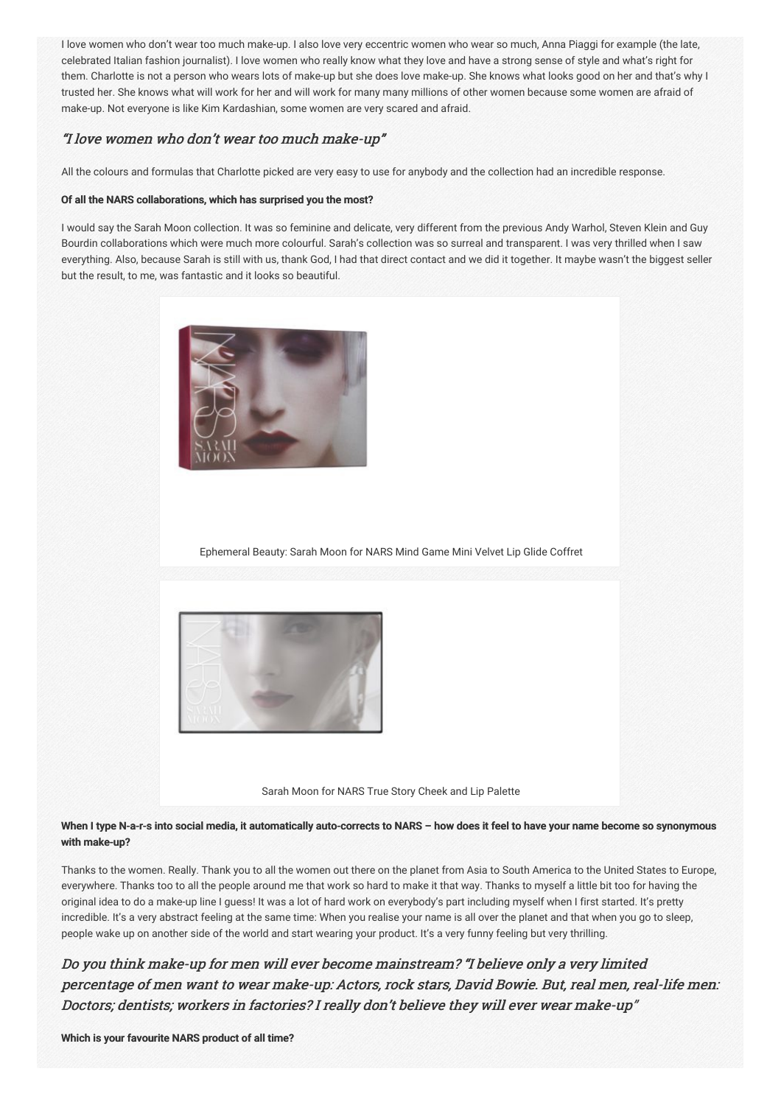I love women who don't wear too much make-up. I also love very eccentric women who wear so much, Anna Piaggi for example (the late, celebrated Italian fashion journalist). I love women who really know what they love and have a strong sense of style and what's right for them. Charlotte is not a person who wears lots of make-up but she does love make-up. She knows what looks good on her and that's why I trusted her. She knows what will work for her and will work for many many millions of other women because some women are afraid of make-up. Not everyone is like Kim Kardashian, some women are very scared and afraid.

# "I love women who don't wear too much make-up"

All the colours and formulas that Charlotte picked are very easy to use for anybody and the collection had an incredible response.

# Of all the NARS collaborations, which has surprised you the most?

I would say the Sarah Moon collection. It was so feminine and delicate, very different from the previous Andy Warhol, Steven Klein and Guy Bourdin collaborations which were much more colourful. Sarah's collection was so surreal and transparent. I was very thrilled when I saw everything. Also, because Sarah is still with us, thank God, I had that direct contact and we did it together. It maybe wasn't the biggest seller but the result, to me, was fantastic and it looks so beautiful.



Ephemeral Beauty: Sarah Moon for NARS Mind Game Mini Velvet Lip Glide Coffret



Sarah Moon for NARS True Story Cheek and Lip Palette

When I type N-a-r-s into social media, it automatically auto-corrects to NARS – how does it feel to have your name become so synonymous with make-up?

Thanks to the women. Really. Thank you to all the women out there on the planet from Asia to South America to the United States to Europe, everywhere. Thanks too to all the people around me that work so hard to make it that way. Thanks to myself a little bit too for having the original idea to do a make-up line I guess! It was a lot of hard work on everybody's part including myself when I first started. It's pretty incredible. It's a very abstract feeling at the same time: When you realise your name is all over the planet and that when you go to sleep, people wake up on another side of the world and start wearing your product. It's a very funny feeling but very thrilling.

Do you think make-up for men will ever become mainstream? "I believe only <sup>a</sup> very limited percentage of men want to wear make-up: Actors, rock stars, David Bowie. But, real men, real-life men: Doctors; dentists; workers in factories? I really don't believe they will ever wear make-up"

Which is your favourite NARS product of all time?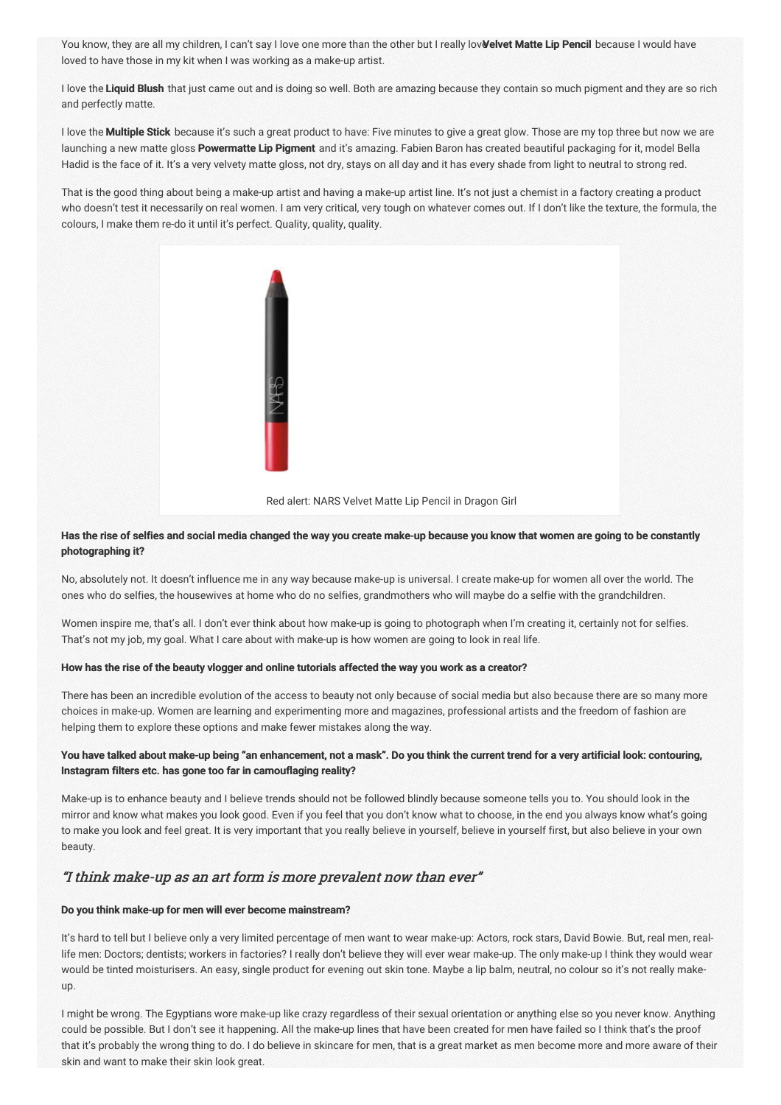You know, they are all my children, I can't say I love one more than the other but I really lov**Velvet Matte Lip Pencil** because I would have loved to have those in my kit when I was working as a make-up artist.

I love the Liquid Blush that just came out and is doing so well. Both are amazing because they contain so much pigment and they are so rich and perfectly matte.

I love the Multiple Stick because it's such a great product to have: Five minutes to give a great glow. Those are my top three but now we are launching a new matte gloss Powermatte Lip Pigment and it's amazing. Fabien Baron has created beautiful packaging for it, model Bella Hadid is the face of it. It's a very velvety matte gloss, not dry, stays on all day and it has every shade from light to neutral to strong red.

That is the good thing about being a make-up artist and having a make-up artist line. It's not just a chemist in a factory creating a product who doesn't test it necessarily on real women. I am very critical, very tough on whatever comes out. If I don't like the texture, the formula, the colours, I make them re-do it until it's perfect. Quality, quality, quality.



Red alert: NARS Velvet Matte Lip Pencil in Dragon Girl

Has the rise of selfies and social media changed the way you create make-up because you know that women are going to be constantly photographing it?

No, absolutely not. It doesn't influence me in any way because make-up is universal. I create make-up for women all over the world. The ones who do selfies, the housewives at home who do no selfies, grandmothers who will maybe do a selfie with the grandchildren.

Women inspire me, that's all. I don't ever think about how make-up is going to photograph when I'm creating it, certainly not for selfies. That's not my job, my goal. What I care about with make-up is how women are going to look in real life.

## How has the rise of the beauty vlogger and online tutorials affected the way you work as a creator?

There has been an incredible evolution of the access to beauty not only because of social media but also because there are so many more choices in make-up. Women are learning and experimenting more and magazines, professional artists and the freedom of fashion are helping them to explore these options and make fewer mistakes along the way.

# You have talked about make-up being "an enhancement, not a mask". Do you think the current trend for a very artificial look: contouring, Instagram filters etc. has gone too far in camouflaging reality?

Make-up is to enhance beauty and I believe trends should not be followed blindly because someone tells you to. You should look in the mirror and know what makes you look good. Even if you feel that you don't know what to choose, in the end you always know what's going to make you look and feel great. It is very important that you really believe in yourself, believe in yourself first, but also believe in your own beauty.

# "I think make-up as an art form is more prevalent now than ever"

# Do you think make-up for men will ever become mainstream?

It's hard to tell but I believe only a very limited percentage of men want to wear make-up: Actors, rock stars, David Bowie. But, real men, reallife men: Doctors; dentists; workers in factories? I really don't believe they will ever wear make-up. The only make-up I think they would wear would be tinted moisturisers. An easy, single product for evening out skin tone. Maybe a lip balm, neutral, no colour so it's not really makeup.

I might be wrong. The Egyptians wore make-up like crazy regardless of their sexual orientation or anything else so you never know. Anything could be possible. But I don't see it happening. All the make-up lines that have been created for men have failed so I think that's the proof that it's probably the wrong thing to do. I do believe in skincare for men, that is a great market as men become more and more aware of their skin and want to make their skin look great.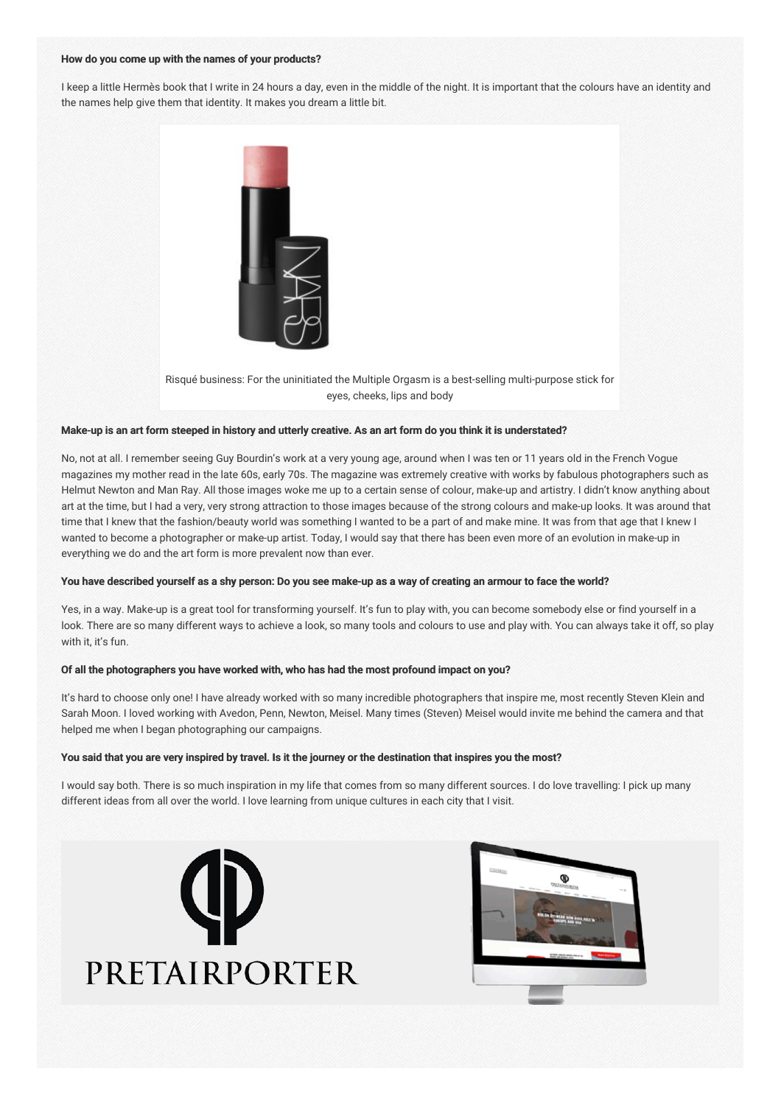# How do you come up with the names of your products?

I keep a little Hermès book that I write in 24 hours a day, even in the middle of the night. It is important that the colours have an identity and the names help give them that identity. It makes you dream a little bit.



Risqué business: For the uninitiated the Multiple Orgasm is a best-selling multi-purpose stick for eyes, cheeks, lips and body

#### Make-up is an art form steeped in history and utterly creative. As an art form do you think it is understated?

No, not at all. I remember seeing Guy Bourdin's work at a very young age, around when I was ten or 11 years old in the French Vogue magazines my mother read in the late 60s, early 70s. The magazine was extremely creative with works by fabulous photographers such as Helmut Newton and Man Ray. All those images woke me up to a certain sense of colour, make-up and artistry. I didn't know anything about art at the time, but I had a very, very strong attraction to those images because of the strong colours and make-up looks. It was around that time that I knew that the fashion/beauty world was something I wanted to be a part of and make mine. It was from that age that I knew I wanted to become a photographer or make-up artist. Today, I would say that there has been even more of an evolution in make-up in everything we do and the art form is more prevalent now than ever.

#### You have described yourself as a shy person: Do you see make-up as a way of creating an armour to face the world?

Yes, in a way. Make-up is a great tool for transforming yourself. It's fun to play with, you can become somebody else or find yourself in a look. There are so many different ways to achieve a look, so many tools and colours to use and play with. You can always take it off, so play with it, it's fun.

# Of all the photographers you have worked with, who has had the most profound impact on you?

It's hard to choose only one! I have already worked with so many incredible photographers that inspire me, most recently Steven Klein and Sarah Moon. I loved working with Avedon, Penn, Newton, Meisel. Many times (Steven) Meisel would invite me behind the camera and that helped me when I began photographing our campaigns.

# You said that you are very inspired by travel. Is it the journey or the destination that inspires you the most?

I would say both. There is so much inspiration in my life that comes from so many different sources. I do love travelling: I pick up many different ideas from all over the world. I love learning from unique cultures in each city that I visit.



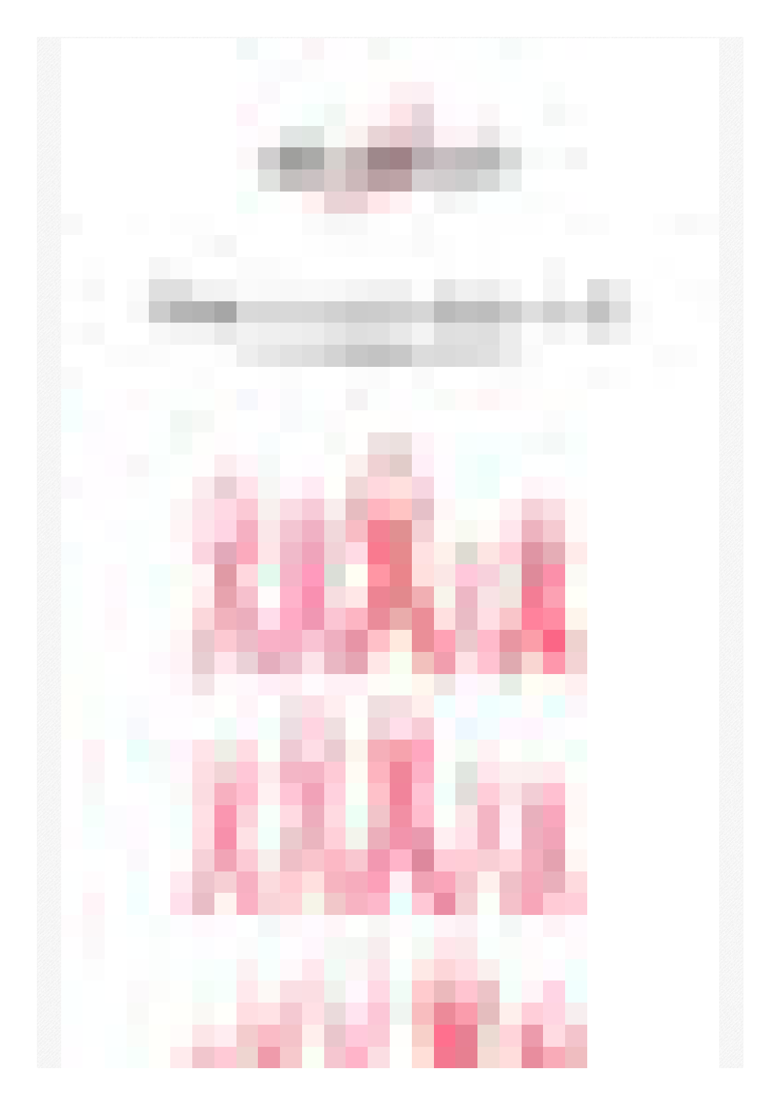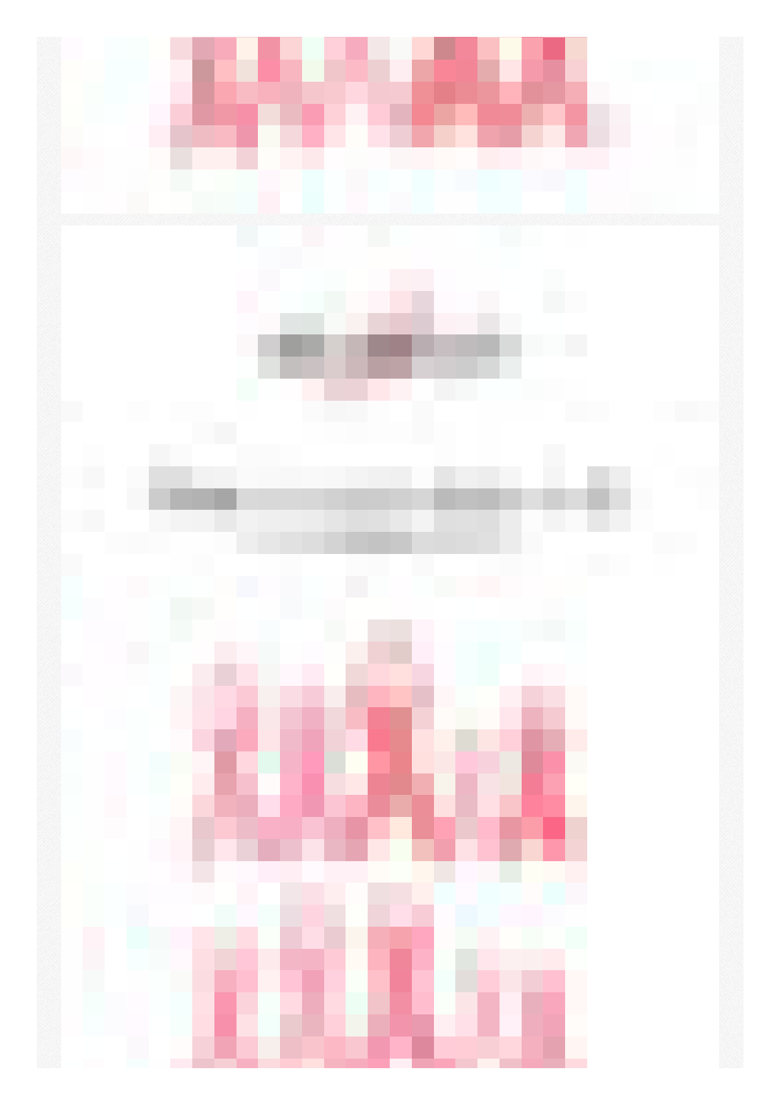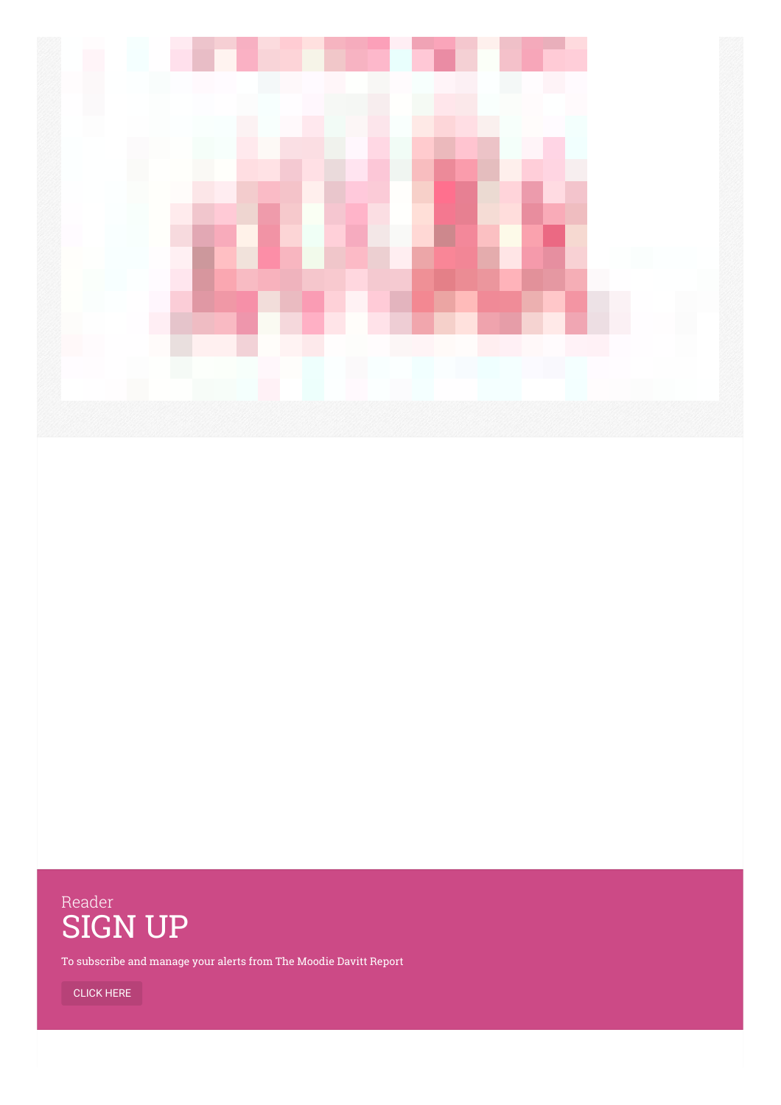

# Reader SIGN UP

To subscribe and manage your alerts from The Moodie Davitt Report

[CLICK](http://eepurl.com/b4ZypH) HERE